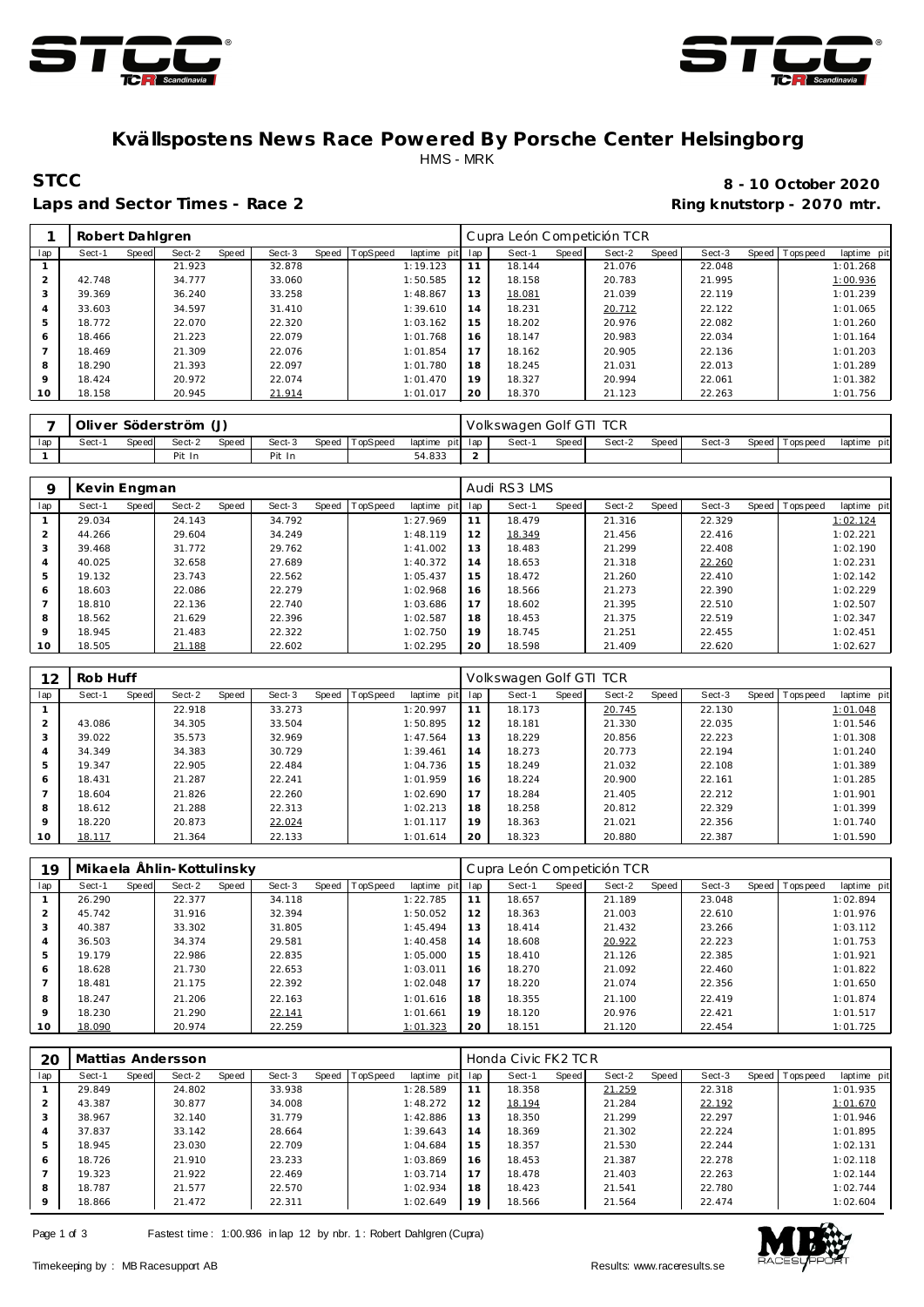



### **Kvällspostens News Race Powered By Porsche Center Helsingborg** HMS - MRK

#### Laps and Sector Times - Race 2 **Ring and Sector Times - Ring knutstorp** - 2070 mtr.

# **STCC 8 - 10 October 2020**

|                | Robert Dahlgren |       |        |       |        |       |          |             |     | Cupra León Competición TCR |       |        |       |        |                |             |
|----------------|-----------------|-------|--------|-------|--------|-------|----------|-------------|-----|----------------------------|-------|--------|-------|--------|----------------|-------------|
| lap            | Sect-1          | Speed | Sect-2 | Speed | Sect-3 | Speed | TopSpeed | laptime pit | lap | Sect-1                     | Speed | Sect-2 | Speed | Sect-3 | Speed Topspeed | laptime pit |
|                |                 |       | 21.923 |       | 32.878 |       |          | 1:19.123    | 11  | 18.144                     |       | 21.076 |       | 22.048 |                | 1:01.268    |
| $\overline{2}$ | 42.748          |       | 34.777 |       | 33.060 |       |          | 1:50.585    | 12  | 18.158                     |       | 20.783 |       | 21.995 |                | 1:00.936    |
| 3              | 39.369          |       | 36.240 |       | 33.258 |       |          | 1:48.867    | 13  | 18.081                     |       | 21.039 |       | 22.119 |                | 1:01.239    |
| $\overline{4}$ | 33.603          |       | 34.597 |       | 31.410 |       |          | 1:39.610    | 14  | 18.231                     |       | 20.712 |       | 22.122 |                | 1:01.065    |
| 5              | 18.772          |       | 22.070 |       | 22.320 |       |          | 1:03.162    | 15  | 18.202                     |       | 20.976 |       | 22.082 |                | 1:01.260    |
| 6              | 18.466          |       | 21.223 |       | 22.079 |       |          | 1:01.768    | 16  | 18.147                     |       | 20.983 |       | 22.034 |                | 1:01.164    |
|                | 18.469          |       | 21.309 |       | 22.076 |       |          | 1:01.854    | 17  | 18.162                     |       | 20.905 |       | 22.136 |                | 1:01.203    |
| 8              | 18.290          |       | 21.393 |       | 22.097 |       |          | 1:01.780    | 18  | 18.245                     |       | 21.031 |       | 22.013 |                | 1:01.289    |
| $\circ$        | 18.424          |       | 20.972 |       | 22.074 |       |          | 1:01.470    | 19  | 18.327                     |       | 20.994 |       | 22.061 |                | 1:01.382    |
| 10             | 18.158          |       | 20.945 |       | 21.914 |       |          | 1:01.017    | 20  | 18.370                     |       | 21.123 |       | 22.263 |                | 1:01.756    |
|                |                 |       |        |       |        |       |          |             |     |                            |       |        |       |        |                |             |

|     |        |       | Oliver Söderström (J) |       |        |                |                 | Volkswagen Golf GTI TCR |       |        |       |        |                 |             |
|-----|--------|-------|-----------------------|-------|--------|----------------|-----------------|-------------------------|-------|--------|-------|--------|-----------------|-------------|
| lap | Sect-1 | Speed | Sect-2                | Speed | Sect-3 | Speed TopSpeed | laptime pit lap | Sect-1                  | Speed | Sect-2 | Speed | Sect-3 | Speed Tops peed | laptime pit |
|     |        |       | Pit In                |       | Pit In |                | 54.833          |                         |       |        |       |        |                 |             |

| Q       | Kevin Engman |       |        |       |        |       |          |                 |     | Audi RS3 LMS |       |        |       |        |                |             |
|---------|--------------|-------|--------|-------|--------|-------|----------|-----------------|-----|--------------|-------|--------|-------|--------|----------------|-------------|
| lap     | Sect-1       | Speed | Sect-2 | Speed | Sect-3 | Speed | TopSpeed | laptime<br>pitl | lap | Sect-1       | Speed | Sect-2 | Speed | Sect-3 | Speed Topspeed | laptime pit |
|         | 29.034       |       | 24.143 |       | 34.792 |       |          | 1:27.969        | 11  | 18.479       |       | 21.316 |       | 22.329 |                | 1:02.124    |
|         | 44.266       |       | 29.604 |       | 34.249 |       |          | 1:48.119        | 12  | 18.349       |       | 21.456 |       | 22.416 |                | 1:02.221    |
|         | 39.468       |       | 31.772 |       | 29.762 |       |          | 1:41.002        | 13  | 18.483       |       | 21.299 |       | 22.408 |                | 1:02.190    |
| 4       | 40.025       |       | 32.658 |       | 27.689 |       |          | 1:40.372        | 14  | 18.653       |       | 21.318 |       | 22.260 |                | 1:02.231    |
| 5       | 19.132       |       | 23.743 |       | 22.562 |       |          | 1:05.437        | 15  | 18.472       |       | 21.260 |       | 22.410 |                | 1:02.142    |
| 6       | 18.603       |       | 22.086 |       | 22.279 |       |          | 1:02.968        | 16  | 18.566       |       | 21.273 |       | 22.390 |                | 1:02.229    |
|         | 18.810       |       | 22.136 |       | 22.740 |       |          | 1:03.686        | 17  | 18.602       |       | 21.395 |       | 22.510 |                | 1:02.507    |
| 8       | 18.562       |       | 21.629 |       | 22.396 |       |          | 1:02.587        | 18  | 18.453       |       | 21.375 |       | 22.519 |                | 1:02.347    |
| $\circ$ | 18.945       |       | 21.483 |       | 22.322 |       |          | 1:02.750        | 19  | 18.745       |       | 21.251 |       | 22.455 |                | 1:02.451    |
| 10      | 18.505       |       | 21.188 |       | 22.602 |       |          | 1:02.295        | 20  | 18.598       |       | 21.409 |       | 22.620 |                | 1:02.627    |

| 12             | Rob Huff |       |        |       |        |       |          |             |     | Volkswagen Golf GTI TCR |       |        |       |        |                |             |
|----------------|----------|-------|--------|-------|--------|-------|----------|-------------|-----|-------------------------|-------|--------|-------|--------|----------------|-------------|
| lap            | Sect-1   | Speed | Sect-2 | Speed | Sect-3 | Speed | TopSpeed | laptime pit | lap | Sect-1                  | Speed | Sect-2 | Speed | Sect-3 | Speed Topspeed | laptime pit |
|                |          |       | 22.918 |       | 33.273 |       |          | 1:20.997    | 11  | 18.173                  |       | 20.745 |       | 22.130 |                | 1:01.048    |
| 2              | 43.086   |       | 34.305 |       | 33.504 |       |          | 1:50.895    | 12  | 18.181                  |       | 21.330 |       | 22.035 |                | 1:01.546    |
| 3              | 39.022   |       | 35.573 |       | 32.969 |       |          | 1:47.564    | 13  | 18.229                  |       | 20.856 |       | 22.223 |                | 1:01.308    |
| 4              | 34.349   |       | 34.383 |       | 30.729 |       |          | 1:39.461    | 14  | 18.273                  |       | 20.773 |       | 22.194 |                | 1:01.240    |
| 5              | 19.347   |       | 22.905 |       | 22.484 |       |          | 1:04.736    | 15  | 18.249                  |       | 21.032 |       | 22.108 |                | 1:01.389    |
| 6              | 18.431   |       | 21.287 |       | 22.241 |       |          | 1:01.959    | 16  | 18.224                  |       | 20.900 |       | 22.161 |                | 1:01.285    |
| $\overline{7}$ | 18.604   |       | 21.826 |       | 22.260 |       |          | 1:02.690    | 17  | 18.284                  |       | 21.405 |       | 22.212 |                | 1:01.901    |
| 8              | 18.612   |       | 21.288 |       | 22.313 |       |          | 1:02.213    | 18  | 18.258                  |       | 20.812 |       | 22.329 |                | 1:01.399    |
| 9              | 18.220   |       | 20.873 |       | 22.024 |       |          | 1:01.117    | 19  | 18.363                  |       | 21.021 |       | 22.356 |                | 1:01.740    |
| 10             | 18.117   |       | 21.364 |       | 22.133 |       |          | 1:01.614    | 20  | 18.323                  |       | 20,880 |       | 22.387 |                | 1:01.590    |

| 19      |        |              | Mikaela Ählin-Kottulinsky |       |        |       |                 |             |     | Cupra León Competición TCR |       |        |         |        |                |             |
|---------|--------|--------------|---------------------------|-------|--------|-------|-----------------|-------------|-----|----------------------------|-------|--------|---------|--------|----------------|-------------|
| lap     | Sect-1 | <b>Speed</b> | Sect-2                    | Speed | Sect-3 | Speed | <b>TopSpeed</b> | laptime pit | lap | Sect-1                     | Speed | Sect-2 | Speed ! | Sect-3 | Speed Topspeed | laptime pit |
|         | 26.290 |              | 22.377                    |       | 34.118 |       |                 | 1:22.785    | 11  | 18.657                     |       | 21.189 |         | 23.048 |                | 1:02.894    |
| 2       | 45.742 |              | 31.916                    |       | 32.394 |       |                 | 1:50.052    | 12  | 18.363                     |       | 21.003 |         | 22.610 |                | 1:01.976    |
| 3       | 40.387 |              | 33.302                    |       | 31.805 |       |                 | 1:45.494    | 13  | 18.414                     |       | 21.432 |         | 23.266 |                | 1:03.112    |
| 4       | 36.503 |              | 34.374                    |       | 29.581 |       |                 | 1:40.458    | 14  | 18.608                     |       | 20.922 |         | 22.223 |                | 1:01.753    |
| 5       | 19.179 |              | 22.986                    |       | 22.835 |       |                 | 1:05.000    | 15  | 18.410                     |       | 21.126 |         | 22.385 |                | 1:01.921    |
| 6       | 18.628 |              | 21.730                    |       | 22.653 |       |                 | 1:03.011    | 16  | 18.270                     |       | 21.092 |         | 22.460 |                | 1:01.822    |
|         | 18.481 |              | 21.175                    |       | 22.392 |       |                 | 1:02.048    | 17  | 18.220                     |       | 21.074 |         | 22.356 |                | 1:01.650    |
| 8       | 18.247 |              | 21.206                    |       | 22.163 |       |                 | 1:01.616    | 18  | 18.355                     |       | 21.100 |         | 22.419 |                | 1:01.874    |
| $\circ$ | 18.230 |              | 21.290                    |       | 22.141 |       |                 | 1:01.661    | 19  | 18.120                     |       | 20.976 |         | 22.421 |                | 1:01.517    |
| 10      | 18.090 |              | 20.974                    |       | 22.259 |       |                 | 1:01.323    | 20  | 18.151                     |       | 21.120 |         | 22.454 |                | 1:01.725    |

| 20  | Mattias Andersson |        |        |       |        |                |             |     | Honda Civic FK2 TCR |       |        |       |        |                |             |
|-----|-------------------|--------|--------|-------|--------|----------------|-------------|-----|---------------------|-------|--------|-------|--------|----------------|-------------|
| lap | Sect-1<br>Speed   | Sect-2 |        | Speed | Sect-3 | Speed TopSpeed | laptime pit | lap | Sect-1              | Speed | Sect-2 | Speed | Sect-3 | Speed Topspeed | laptime pit |
|     | 29.849            |        | 24.802 |       | 33.938 |                | 1:28.589    | 11  | 18.358              |       | 21.259 |       | 22.318 |                | 1:01.935    |
|     | 43.387            | 30.877 |        |       | 34.008 |                | 1:48.272    | 12  | 18.194              |       | 21.284 |       | 22.192 |                | 1:01.670    |
| 3   | 38.967            |        | 32.140 |       | 31.779 |                | 1:42.886    | 13  | 18.350              |       | 21.299 |       | 22.297 |                | 1:01.946    |
| 4   | 37.837            |        | 33.142 |       | 28.664 |                | 1:39.643    | 14  | 18.369              |       | 21.302 |       | 22.224 |                | 1:01.895    |
| 5   | 18.945            |        | 23.030 |       | 22.709 |                | 1:04.684    | 15  | 18.357              |       | 21.530 |       | 22.244 |                | 1:02.131    |
| 6   | 18.726            |        | 21.910 |       | 23.233 |                | 1:03.869    | 16  | 18.453              |       | 21.387 |       | 22.278 |                | 1:02.118    |
|     | 19.323            |        | 21.922 |       | 22.469 |                | 1:03.714    | 17  | 18.478              |       | 21.403 |       | 22.263 |                | 1:02.144    |
| 8   | 18.787            | 21.577 |        |       | 22.570 |                | 1:02.934    | 18  | 18.423              |       | 21.541 |       | 22.780 |                | 1:02.744    |
| 9   | 18.866            | 21.472 |        |       | 22.311 |                | 1:02.649    | 19  | 18.566              |       | 21.564 |       | 22.474 |                | 1:02.604    |

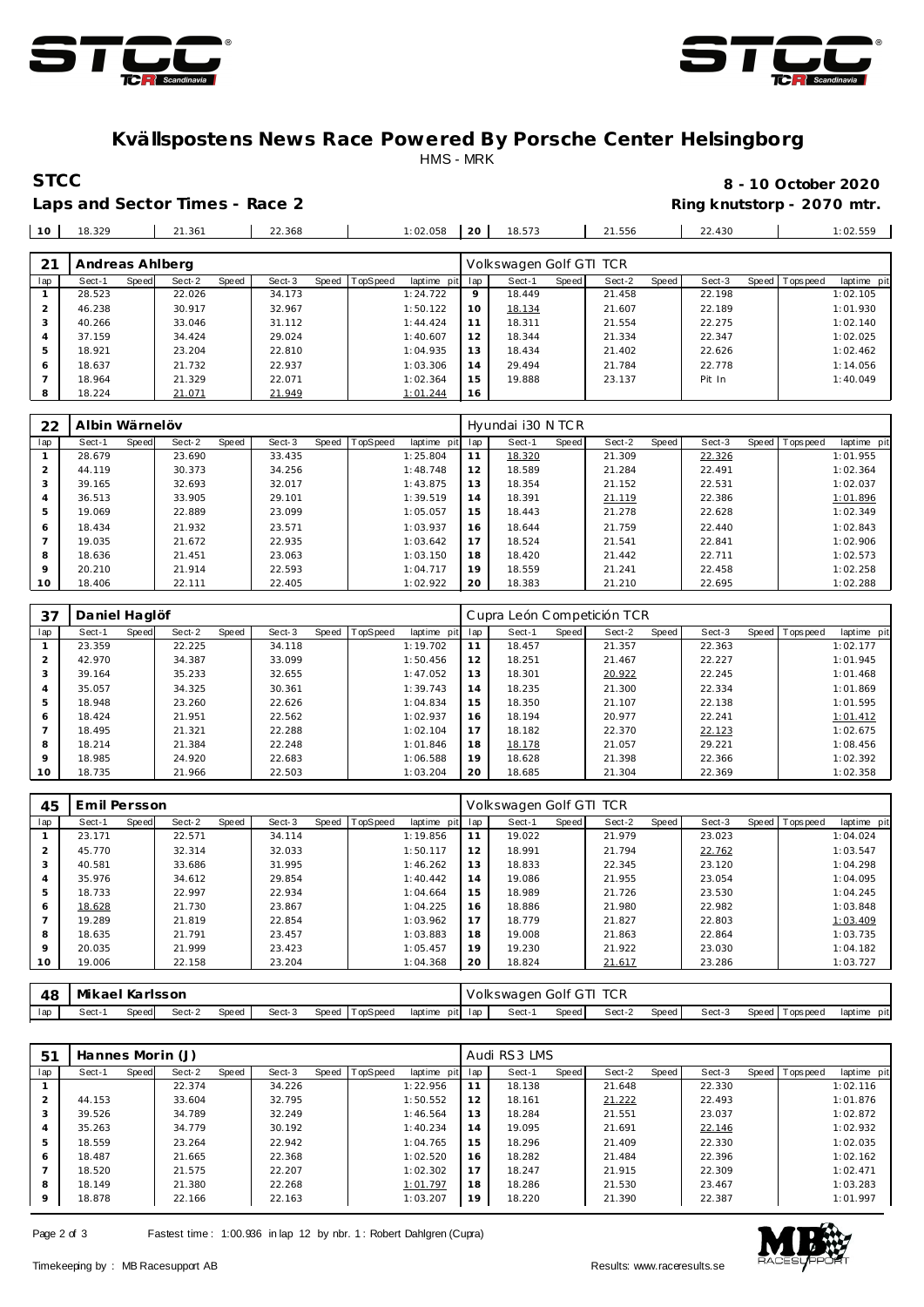



### **Kvällspostens News Race Powered By Porsche Center Helsingborg** HMS - MRK

Laps and Sector Times - Race 2 **Ring and Sector Times - Ring knutstorp** - 2070 mtr.

## **STCC 8 - 10 October 2020**

| 10             | 18.329          |              | 21.361 |       | 22.368 |       |                 | 1:02.058    | 20      | 18.573                  |       | 21.556 |       | 22.430 |         |           | 1:02.559    |
|----------------|-----------------|--------------|--------|-------|--------|-------|-----------------|-------------|---------|-------------------------|-------|--------|-------|--------|---------|-----------|-------------|
|                |                 |              |        |       |        |       |                 |             |         |                         |       |        |       |        |         |           |             |
| 21             | Andreas Ahlberg |              |        |       |        |       |                 |             |         | Volkswagen Golf GTI TCR |       |        |       |        |         |           |             |
| lap            | Sect-1          | <b>Speed</b> | Sect-2 | Speed | Sect-3 | Speed | <b>TopSpeed</b> | laptime pit | lap     | Sect-1                  | Speed | Sect-2 | Speed | Sect-3 | Speed I | Tops peed | laptime pit |
|                | 28.523          |              | 22.026 |       | 34.173 |       |                 | 1:24.722    | $\circ$ | 18.449                  |       | 21.458 |       | 22.198 |         |           | 1:02.105    |
| $\overline{2}$ | 46.238          |              | 30.917 |       | 32.967 |       |                 | 1:50.122    | 10      | 18.134                  |       | 21.607 |       | 22.189 |         |           | 1:01.930    |
| 3              | 40.266          |              | 33.046 |       | 31.112 |       |                 | 1:44.424    | 11      | 18.311                  |       | 21.554 |       | 22.275 |         |           | 1:02.140    |
| 4              | 37.159          |              | 34.424 |       | 29.024 |       |                 | 1:40.607    | 12      | 18.344                  |       | 21.334 |       | 22.347 |         |           | 1:02.025    |
| 5              | 18.921          |              | 23.204 |       | 22.810 |       |                 | 1:04.935    | 13      | 18.434                  |       | 21.402 |       | 22.626 |         |           | 1:02.462    |
| 6              | 18.637          |              | 21.732 |       | 22.937 |       |                 | 1:03.306    | 14      | 29.494                  |       | 21.784 |       | 22.778 |         |           | 1:14.056    |
|                | 18.964          |              | 21.329 |       | 22.071 |       |                 | 1:02.364    | 15      | 19.888                  |       | 23.137 |       | Pit In |         |           | 1:40.049    |
| 8              | 18.224          |              | 21.071 |       | 21.949 |       |                 | 1:01.244    | 16      |                         |       |        |       |        |         |           |             |

| 22             | Albin Wärnelöv |       |        |       |        |       |          |             |     | Hyundai i30 N TCR |       |        |       |        |                   |             |
|----------------|----------------|-------|--------|-------|--------|-------|----------|-------------|-----|-------------------|-------|--------|-------|--------|-------------------|-------------|
| lap            | Sect-1         | Speed | Sect-2 | Speed | Sect-3 | Speed | TopSpeed | laptime pit | lap | Sect-1            | Speed | Sect-2 | Speed | Sect-3 | Speed   Tops peed | laptime pit |
|                | 28.679         |       | 23.690 |       | 33.435 |       |          | 1:25.804    | 11  | 18.320            |       | 21.309 |       | 22.326 |                   | 1:01.955    |
| $\overline{2}$ | 44.119         |       | 30.373 |       | 34.256 |       |          | 1:48.748    | 12  | 18.589            |       | 21.284 |       | 22.491 |                   | 1:02.364    |
| 3              | 39.165         |       | 32.693 |       | 32.017 |       |          | 1:43.875    | 13  | 18.354            |       | 21.152 |       | 22.531 |                   | 1:02.037    |
| 4              | 36.513         |       | 33.905 |       | 29.101 |       |          | 1:39.519    | 14  | 18.391            |       | 21.119 |       | 22.386 |                   | 1:01.896    |
| 5              | 19.069         |       | 22.889 |       | 23.099 |       |          | 1:05.057    | 15  | 18.443            |       | 21.278 |       | 22.628 |                   | 1:02.349    |
| 6              | 18.434         |       | 21.932 |       | 23.571 |       |          | 1:03.937    | 16  | 18.644            |       | 21.759 |       | 22.440 |                   | 1:02.843    |
|                | 19.035         |       | 21.672 |       | 22.935 |       |          | 1:03.642    | 17  | 18.524            |       | 21.541 |       | 22.841 |                   | 1:02.906    |
| 8              | 18.636         |       | 21.451 |       | 23.063 |       |          | 1:03.150    | 18  | 18.420            |       | 21.442 |       | 22.711 |                   | 1:02.573    |
| $\circ$        | 20.210         |       | 21.914 |       | 22.593 |       |          | 1:04.717    | 19  | 18.559            |       | 21.241 |       | 22.458 |                   | 1:02.258    |
| 10             | 18.406         |       | 22.111 |       | 22.405 |       |          | 1:02.922    | 20  | 18.383            |       | 21.210 |       | 22.695 |                   | 1:02.288    |

| 37             | Daniel Haglöf |       |        |       |        |       |                 |             |     | Cupra León Competición TCR |       |        |       |        |                |             |
|----------------|---------------|-------|--------|-------|--------|-------|-----------------|-------------|-----|----------------------------|-------|--------|-------|--------|----------------|-------------|
| lap            | Sect-1        | Speed | Sect-2 | Speed | Sect-3 | Speed | <b>TopSpeed</b> | laptime pit | lap | Sect-1                     | Speed | Sect-2 | Speed | Sect-3 | Speed Topspeed | laptime pit |
|                | 23.359        |       | 22.225 |       | 34.118 |       |                 | 1:19.702    | 11  | 18.457                     |       | 21.357 |       | 22.363 |                | 1:02.177    |
| 2              | 42.970        |       | 34.387 |       | 33.099 |       |                 | 1:50.456    | 12  | 18.251                     |       | 21.467 |       | 22.227 |                | 1:01.945    |
| 3              | 39.164        |       | 35.233 |       | 32.655 |       |                 | 1:47.052    | 13  | 18.301                     |       | 20.922 |       | 22.245 |                | 1:01.468    |
| 4              | 35.057        |       | 34.325 |       | 30.361 |       |                 | 1:39.743    | 14  | 18.235                     |       | 21.300 |       | 22.334 |                | 1:01.869    |
| 5              | 18.948        |       | 23.260 |       | 22.626 |       |                 | 1:04.834    | 15  | 18.350                     |       | 21.107 |       | 22.138 |                | 1:01.595    |
| 6              | 18.424        |       | 21.951 |       | 22.562 |       |                 | 1:02.937    | 16  | 18.194                     |       | 20.977 |       | 22.241 |                | 1:01.412    |
| $\overline{ }$ | 18.495        |       | 21.321 |       | 22.288 |       |                 | 1:02.104    | 17  | 18.182                     |       | 22.370 |       | 22.123 |                | 1:02.675    |
| 8              | 18.214        |       | 21.384 |       | 22.248 |       |                 | 1:01.846    | 18  | 18.178                     |       | 21.057 |       | 29.221 |                | 1:08.456    |
| $\circ$        | 18.985        |       | 24.920 |       | 22.683 |       |                 | 1:06.588    | 19  | 18.628                     |       | 21.398 |       | 22.366 |                | 1:02.392    |
| 10             | 18.735        |       | 21.966 |       | 22.503 |       |                 | 1:03.204    | 20  | 18.685                     |       | 21.304 |       | 22.369 |                | 1:02.358    |

| 45      | Emil Persson |       |        |       |        |       |          |             |     | Volkswagen Golf GTI TCR |       |        |       |        |                |             |
|---------|--------------|-------|--------|-------|--------|-------|----------|-------------|-----|-------------------------|-------|--------|-------|--------|----------------|-------------|
| lap     | Sect-1       | Speed | Sect-2 | Speed | Sect-3 | Speed | TopSpeed | laptime pit | lap | Sect-1                  | Speed | Sect-2 | Speed | Sect-3 | Speed Topspeed | laptime pit |
|         | 23.171       |       | 22.571 |       | 34.114 |       |          | 1:19.856    | 11  | 19.022                  |       | 21.979 |       | 23.023 |                | 1:04.024    |
|         | 45.770       |       | 32.314 |       | 32.033 |       |          | 1:50.117    | 12  | 18.991                  |       | 21.794 |       | 22.762 |                | 1:03.547    |
| 3       | 40.581       |       | 33.686 |       | 31.995 |       |          | 1:46.262    | 13  | 18.833                  |       | 22.345 |       | 23.120 |                | 1:04.298    |
| 4       | 35.976       |       | 34.612 |       | 29.854 |       |          | 1:40.442    | 14  | 19.086                  |       | 21.955 |       | 23.054 |                | 1:04.095    |
|         | 18.733       |       | 22.997 |       | 22.934 |       |          | 1:04.664    | 15  | 18.989                  |       | 21.726 |       | 23.530 |                | 1:04.245    |
| 6       | 18.628       |       | 21.730 |       | 23.867 |       |          | 1:04.225    | 16  | 18.886                  |       | 21.980 |       | 22.982 |                | 1:03.848    |
|         | 19.289       |       | 21.819 |       | 22.854 |       |          | 1:03.962    | 17  | 18.779                  |       | 21.827 |       | 22.803 |                | 1:03.409    |
| 8       | 18.635       |       | 21.791 |       | 23.457 |       |          | 1:03.883    | 18  | 19.008                  |       | 21.863 |       | 22.864 |                | 1:03.735    |
| $\circ$ | 20.035       |       | 21.999 |       | 23.423 |       |          | 1:05.457    | 19  | 19.230                  |       | 21.922 |       | 23.030 |                | 1:04.182    |
| 10      | 19.006       |       | 22.158 |       | 23.204 |       |          | 1:04.368    | 20  | 18.824                  |       | 21.617 |       | 23.286 |                | 1:03.727    |
|         |              |       |        |       |        |       |          |             |     |                         |       |        |       |        |                |             |

| 48  | Mikael Karlsson |       |        |       |        |                |                 | Volkswagen Golf GTI TCR |       |        |       |        |                 |             |
|-----|-----------------|-------|--------|-------|--------|----------------|-----------------|-------------------------|-------|--------|-------|--------|-----------------|-------------|
| lap | Sect-           | Speed | Sect-2 | Speed | Sect-3 | Speed TopSpeed | laptime pit lap | Sect-1                  | Speed | Sect-2 | Speed | Sect-3 | Speed Tops peed | laptime pit |

| -51 | Hannes Morin (J) |       |        |       |        |       |          |             |     | Audi RS3 LMS |       |        |       |        |                 |             |
|-----|------------------|-------|--------|-------|--------|-------|----------|-------------|-----|--------------|-------|--------|-------|--------|-----------------|-------------|
| lap | Sect-1           | Speed | Sect-2 | Speed | Sect-3 | Speed | TopSpeed | laptime pit | lap | Sect-1       | Speed | Sect-2 | Speed | Sect-3 | Speed Tops peed | laptime pit |
|     |                  |       | 22.374 |       | 34.226 |       |          | 1:22.956    |     | 18.138       |       | 21.648 |       | 22.330 |                 | 1:02.116    |
|     | 44.153           |       | 33.604 |       | 32.795 |       |          | 1:50.552    | 12  | 18.161       |       | 21.222 |       | 22.493 |                 | 1:01.876    |
| 3   | 39.526           |       | 34.789 |       | 32.249 |       |          | 1:46.564    | 13  | 18.284       |       | 21.551 |       | 23.037 |                 | 1:02.872    |
| 4   | 35.263           |       | 34.779 |       | 30.192 |       |          | 1:40.234    | 14  | 19.095       |       | 21.691 |       | 22.146 |                 | 1:02.932    |
| 5   | 18.559           |       | 23.264 |       | 22.942 |       |          | 1:04.765    | 15  | 18.296       |       | 21.409 |       | 22.330 |                 | 1:02.035    |
| 6   | 18.487           |       | 21.665 |       | 22.368 |       |          | 1:02.520    | 16  | 18.282       |       | 21.484 |       | 22.396 |                 | 1:02.162    |
|     | 18.520           |       | 21.575 |       | 22.207 |       |          | 1:02.302    |     | 18.247       |       | 21.915 |       | 22.309 |                 | 1:02.471    |
| 8   | 18.149           |       | 21.380 |       | 22.268 |       |          | 1:01.797    | 18  | 18.286       |       | 21.530 |       | 23.467 |                 | 1:03.283    |
|     | 18.878           |       | 22.166 |       | 22.163 |       |          | 1:03.207    | 19  | 18.220       |       | 21.390 |       | 22.387 |                 | 1:01.997    |